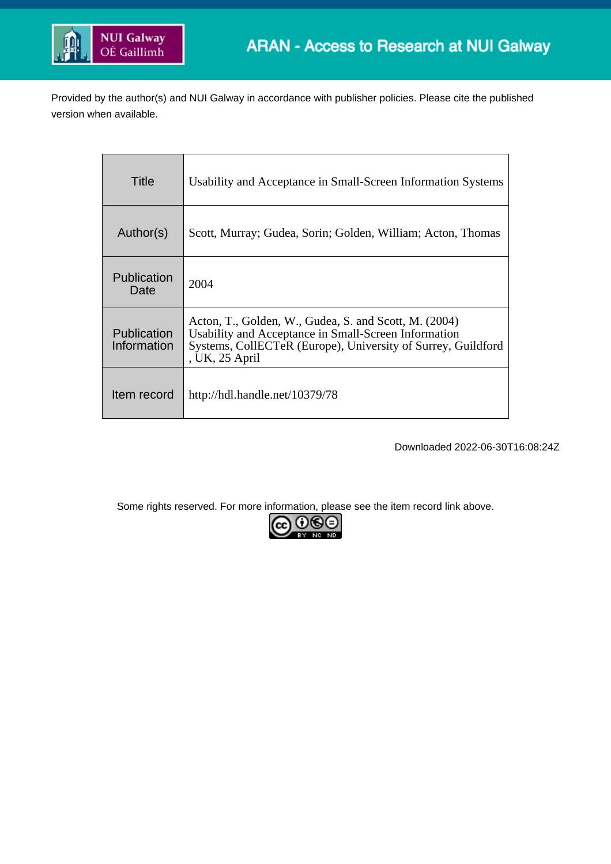

Provided by the author(s) and NUI Galway in accordance with publisher policies. Please cite the published version when available.

| Title                             | Usability and Acceptance in Small-Screen Information Systems                                                                                                                                    |
|-----------------------------------|-------------------------------------------------------------------------------------------------------------------------------------------------------------------------------------------------|
| Author(s)                         | Scott, Murray; Gudea, Sorin; Golden, William; Acton, Thomas                                                                                                                                     |
| <b>Publication</b><br>Date        | 2004                                                                                                                                                                                            |
| <b>Publication</b><br>Information | Acton, T., Golden, W., Gudea, S. and Scott, M. (2004)<br>Usability and Acceptance in Small-Screen Information<br>Systems, CollECTeR (Europe), University of Surrey, Guildford<br>, UK, 25 April |
| Item record                       | http://hdl.handle.net/10379/78                                                                                                                                                                  |

Downloaded 2022-06-30T16:08:24Z

Some rights reserved. For more information, please see the item record link above.

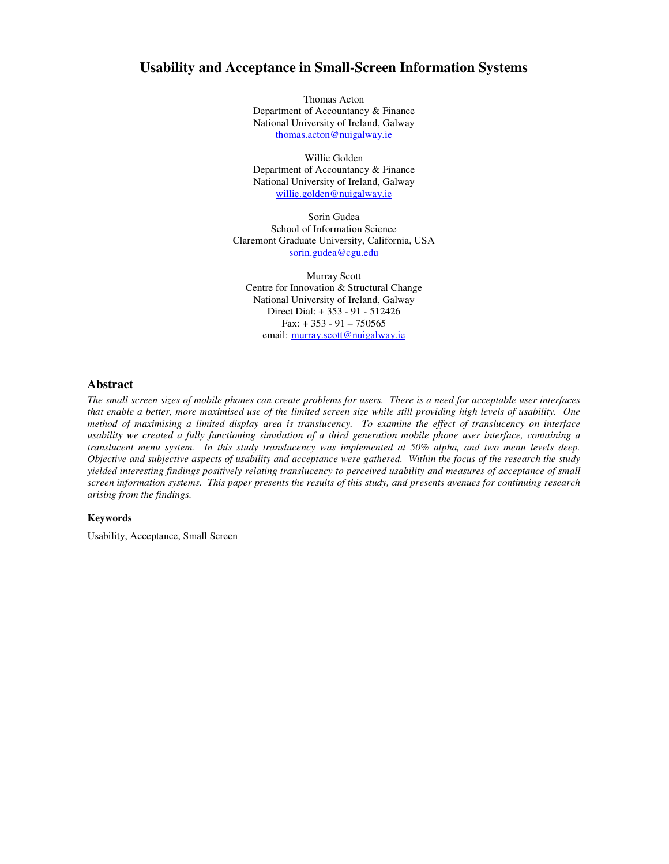# **Usability and Acceptance in Small-Screen Information Systems**

Thomas Acton Department of Accountancy & Finance National University of Ireland, Galway thomas.acton@nuigalway.ie

Willie Golden Department of Accountancy & Finance National University of Ireland, Galway willie.golden@nuigalway.ie

Sorin Gudea School of Information Science Claremont Graduate University, California, USA sorin.gudea@cgu.edu

Murray Scott Centre for Innovation & Structural Change National University of Ireland, Galway Direct Dial: + 353 - 91 - 512426 Fax:  $+353 - 91 - 750565$ email: murray.scott@nuigalway.ie

#### **Abstract**

The small screen sizes of mobile phones can create problems for users. There is a need for acceptable user interfaces that enable a better, more maximised use of the limited screen size while still providing high levels of usability. One method of maximising a limited display area is translucency. To examine the effect of translucency on interface usability we created a fully functioning simulation of a third generation mobile phone user interface, containing a translucent menu system. In this study translucency was implemented at 50% alpha, and two menu levels deep. Objective and subjective aspects of usability and acceptance were gathered. Within the focus of the research the study yielded interesting findings positively relating translucency to perceived usability and measures of acceptance of small screen information systems. This paper presents the results of this study, and presents avenues for continuing research *arising from the findings.*

#### **Keywords**

Usability, Acceptance, Small Screen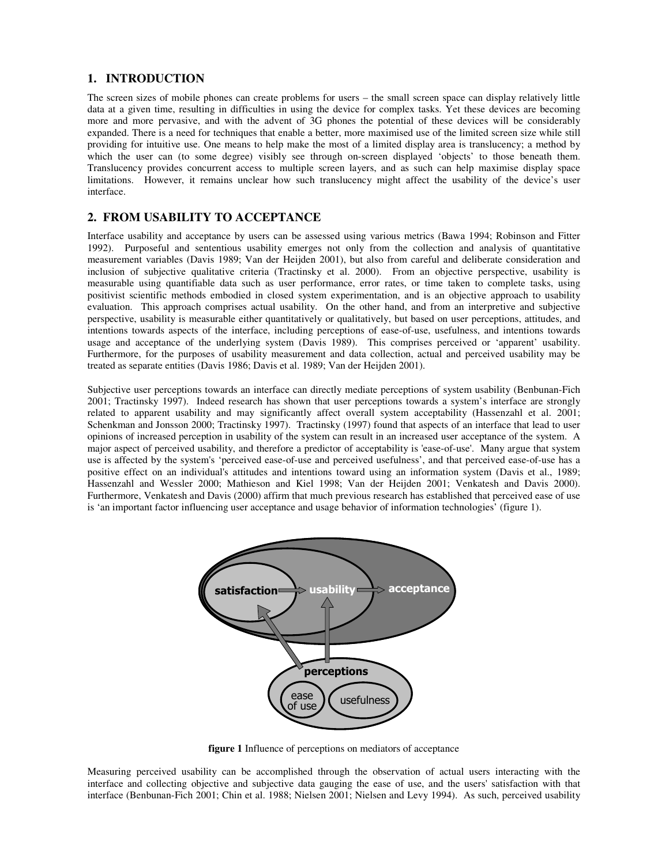# **1. INTRODUCTION**

The screen sizes of mobile phones can create problems for users – the small screen space can display relatively little data at a given time, resulting in difficulties in using the device for complex tasks. Yet these devices are becoming more and more pervasive, and with the advent of 3G phones the potential of these devices will be considerably expanded. There is a need for techniques that enable a better, more maximised use of the limited screen size while still providing for intuitive use. One means to help make the most of a limited display area is translucency; a method by which the user can (to some degree) visibly see through on-screen displayed 'objects' to those beneath them. Translucency provides concurrent access to multiple screen layers, and as such can help maximise display space limitations. However, it remains unclear how such translucency might affect the usability of the device's user interface.

## **2. FROM USABILITY TO ACCEPTANCE**

Interface usability and acceptance by users can be assessed using various metrics (Bawa 1994; Robinson and Fitter 1992). Purposeful and sententious usability emerges not only from the collection and analysis of quantitative measurement variables (Davis 1989; Van der Heijden 2001), but also from careful and deliberate consideration and inclusion of subjective qualitative criteria (Tractinsky et al. 2000). From an objective perspective, usability is measurable using quantifiable data such as user performance, error rates, or time taken to complete tasks, using positivist scientific methods embodied in closed system experimentation, and is an objective approach to usability evaluation. This approach comprises actual usability. On the other hand, and from an interpretive and subjective perspective, usability is measurable either quantitatively or qualitatively, but based on user perceptions, attitudes, and intentions towards aspects of the interface, including perceptions of ease-of-use, usefulness, and intentions towards usage and acceptance of the underlying system (Davis 1989). This comprises perceived or 'apparent' usability. Furthermore, for the purposes of usability measurement and data collection, actual and perceived usability may be treated as separate entities (Davis 1986; Davis et al. 1989; Van der Heijden 2001).

Subjective user perceptions towards an interface can directly mediate perceptions of system usability (Benbunan-Fich 2001; Tractinsky 1997). Indeed research has shown that user perceptions towards a system's interface are strongly related to apparent usability and may significantly affect overall system acceptability (Hassenzahl et al. 2001; Schenkman and Jonsson 2000; Tractinsky 1997). Tractinsky (1997) found that aspects of an interface that lead to user opinions of increased perception in usability of the system can result in an increased user acceptance of the system. A major aspect of perceived usability, and therefore a predictor of acceptability is 'ease-of-use'. Many argue that system use is affected by the system's 'perceived ease-of-use and perceived usefulness', and that perceived ease-of-use has a positive effect on an individual's attitudes and intentions toward using an information system (Davis et al., 1989; Hassenzahl and Wessler 2000; Mathieson and Kiel 1998; Van der Heijden 2001; Venkatesh and Davis 2000). Furthermore, Venkatesh and Davis (2000) affirm that much previous research has established that perceived ease of use is 'an important factor influencing user acceptance and usage behavior of information technologies' (figure 1).



**figure 1** Influence of perceptions on mediators of acceptance

Measuring perceived usability can be accomplished through the observation of actual users interacting with the interface and collecting objective and subjective data gauging the ease of use, and the users'satisfaction with that interface (Benbunan-Fich 2001; Chin et al. 1988; Nielsen 2001; Nielsen and Levy 1994). As such, perceived usability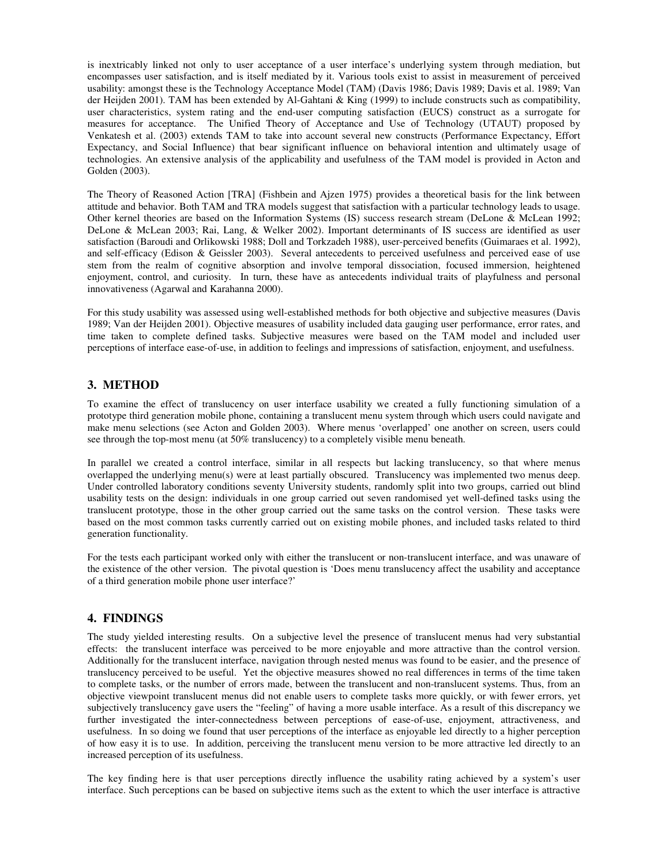is inextricably linked not only to user acceptance of a user interface's underlying system through mediation, but encompasses user satisfaction, and is itself mediated by it. Various tools exist to assist in measurement of perceived usability: amongst these is the Technology Acceptance Model (TAM) (Davis 1986; Davis 1989; Davis et al. 1989; Van der Heijden 2001). TAM has been extended by Al-Gahtani & King (1999) to include constructs such as compatibility, user characteristics, system rating and the end-user computing satisfaction (EUCS) construct as a surrogate for measures for acceptance. The Unified Theory of Acceptance and Use of Technology (UTAUT) proposed by Venkatesh et al. (2003) extends TAM to take into account several new constructs (Performance Expectancy, Effort Expectancy, and Social Influence) that bear significant influence on behavioral intention and ultimately usage of technologies. An extensive analysis of the applicability and usefulness of the TAM model is provided in Acton and Golden (2003).

The Theory of Reasoned Action [TRA] (Fishbein and Ajzen 1975) provides a theoretical basis for the link between attitude and behavior. Both TAM and TRA models suggest that satisfaction with a particular technology leads to usage. Other kernel theories are based on the Information Systems (IS) success research stream (DeLone & McLean 1992; DeLone & McLean 2003; Rai, Lang, & Welker 2002). Important determinants of IS success are identified as user satisfaction (Baroudi and Orlikowski 1988; Doll and Torkzadeh 1988), user-perceived benefits (Guimaraes et al. 1992), and self-efficacy (Edison & Geissler 2003). Several antecedents to perceived usefulness and perceived ease of use stem from the realm of cognitive absorption and involve temporal dissociation, focused immersion, heightened enjoyment, control, and curiosity. In turn, these have as antecedents individual traits of playfulness and personal innovativeness (Agarwal and Karahanna 2000).

For this study usability was assessed using well-established methods for both objective and subjective measures (Davis 1989; Van der Heijden 2001). Objective measures of usability included data gauging user performance, error rates, and time taken to complete defined tasks. Subjective measures were based on the TAM model and included user perceptions of interface ease-of-use, in addition to feelings and impressions of satisfaction, enjoyment, and usefulness.

## **3. METHOD**

To examine the effect of translucency on user interface usability we created a fully functioning simulation of a prototype third generation mobile phone, containing a translucent menu system through which users could navigate and make menu selections (see Acton and Golden 2003). Where menus 'overlapped' one another on screen, users could see through the top-most menu (at 50% translucency) to a completely visible menu beneath.

In parallel we created a control interface, similar in all respects but lacking translucency, so that where menus overlapped the underlying menu(s) were at least partially obscured. Translucency was implemented two menus deep. Under controlled laboratory conditions seventy University students, randomly split into two groups, carried out blind usability tests on the design: individuals in one group carried out seven randomised yet well-defined tasks using the translucent prototype, those in the other group carried out the same tasks on the control version. These tasks were based on the most common tasks currently carried out on existing mobile phones, and included tasks related to third generation functionality.

For the tests each participant worked only with either the translucent or non-translucent interface, and was unaware of the existence of the other version. The pivotal question is 'Does menu translucency affect the usability and acceptance of a third generation mobile phone user interface?'

#### **4. FINDINGS**

The study yielded interesting results. On a subjective level the presence of translucent menus had very substantial effects: the translucent interface was perceived to be more enjoyable and more attractive than the control version. Additionally for the translucent interface, navigation through nested menus was found to be easier, and the presence of translucency perceived to be useful. Yet the objective measures showed no real differences in terms of the time taken to complete tasks, or the number of errors made, between the translucent and non-translucent systems. Thus, from an objective viewpoint translucent menus did not enable users to complete tasks more quickly, or with fewer errors, yet subjectively translucency gave users the "feeling" of having a more usable interface. As a result of this discrepancy we further investigated the inter-connectedness between perceptions of ease-of-use, enjoyment, attractiveness, and usefulness. In so doing we found that user perceptions of the interface as enjoyable led directly to a higher perception of how easy it is to use. In addition, perceiving the translucent menu version to be more attractive led directly to an increased perception of its usefulness.

The key finding here is that user perceptions directly influence the usability rating achieved by a system's user interface. Such perceptions can be based on subjective items such as the extent to which the user interface is attractive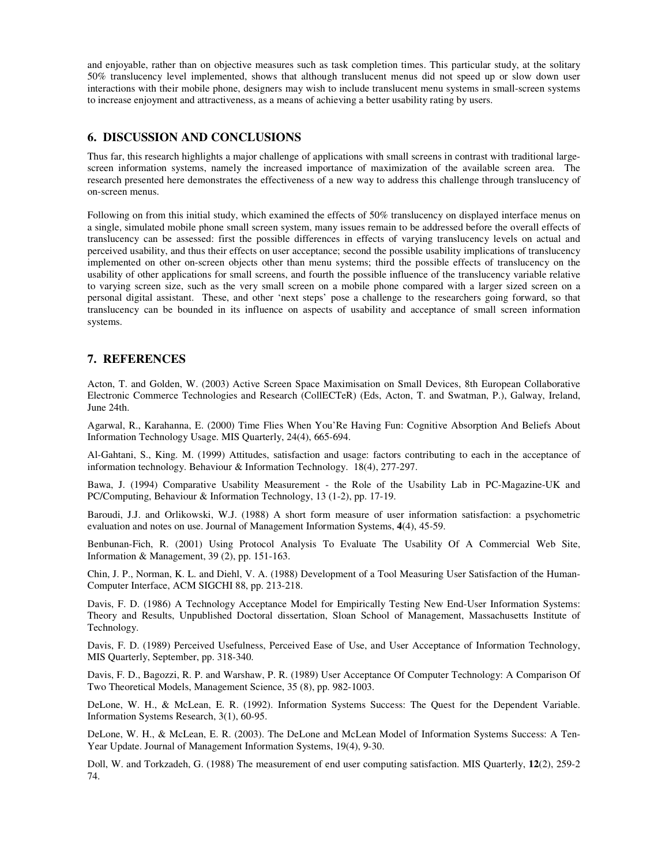and enjoyable, rather than on objective measures such as task completion times. This particular study, at the solitary 50% translucency level implemented, shows that although translucent menus did not speed up or slow down user interactions with their mobile phone, designers may wish to include translucent menu systems in small-screen systems to increase enjoyment and attractiveness, as a means of achieving a better usability rating by users.

## **6. DISCUSSION AND CONCLUSIONS**

Thus far, this research highlights a major challenge of applications with small screens in contrast with traditional largescreen information systems, namely the increased importance of maximization of the available screen area. The research presented here demonstrates the effectiveness of a new way to address this challenge through translucency of on-screen menus.

Following on from this initial study, which examined the effects of 50% translucency on displayed interface menus on a single, simulated mobile phone small screen system, many issues remain to be addressed before the overall effects of translucency can be assessed: first the possible differences in effects of varying translucency levels on actual and perceived usability, and thus their effects on user acceptance; second the possible usability implications of translucency implemented on other on-screen objects other than menu systems; third the possible effects of translucency on the usability of other applications for small screens, and fourth the possible influence of the translucency variable relative to varying screen size, such as the very small screen on a mobile phone compared with a larger sized screen on a personal digital assistant. These, and other 'next steps' pose a challenge to the researchers going forward, so that translucency can be bounded in its influence on aspects of usability and acceptance of small screen information systems.

## **7. REFERENCES**

Acton, T. and Golden, W. (2003) Active Screen Space Maximisation on Small Devices, 8th European Collaborative Electronic Commerce Technologies and Research (CollECTeR) (Eds, Acton, T. and Swatman, P.), Galway, Ireland, June 24th.

Agarwal, R., Karahanna, E. (2000) Time Flies When You'Re Having Fun: Cognitive Absorption And Beliefs About Information Technology Usage. MIS Quarterly, 24(4), 665-694.

Al-Gahtani, S., King. M. (1999) Attitudes, satisfaction and usage: factors contributing to each in the acceptance of information technology. Behaviour & Information Technology. 18(4), 277-297.

Bawa, J. (1994) Comparative Usability Measurement - the Role of the Usability Lab in PC-Magazine-UK and PC/Computing, Behaviour & Information Technology, 13 (1-2), pp. 17-19.

Baroudi, J.J. and Orlikowski, W.J. (1988) A short form measure of user information satisfaction: a psychometric evaluation and notes on use. Journal of Management Information Systems, **4**(4), 45-59.

Benbunan-Fich, R. (2001) Using Protocol Analysis To Evaluate The Usability Of A Commercial Web Site, Information & Management, 39 (2), pp. 151-163.

Chin, J. P., Norman, K. L. and Diehl, V. A. (1988) Development of a Tool Measuring User Satisfaction of the Human-Computer Interface, ACM SIGCHI 88, pp. 213-218.

Davis, F. D. (1986) A Technology Acceptance Model for Empirically Testing New End-User Information Systems: Theory and Results, Unpublished Doctoral dissertation, Sloan School of Management, Massachusetts Institute of Technology.

Davis, F. D. (1989) Perceived Usefulness, Perceived Ease of Use, and User Acceptance of Information Technology, MIS Quarterly, September, pp. 318-340.

Davis, F. D., Bagozzi, R. P. and Warshaw, P. R. (1989) User Acceptance Of Computer Technology: A Comparison Of Two Theoretical Models, Management Science, 35 (8), pp. 982-1003.

DeLone, W. H., & McLean, E. R. (1992). Information Systems Success: The Quest for the Dependent Variable. Information Systems Research, 3(1), 60-95.

DeLone, W. H., & McLean, E. R. (2003). The DeLone and McLean Model of Information Systems Success: A Ten-Year Update. Journal of Management Information Systems, 19(4), 9-30.

Doll, W. and Torkzadeh, G. (1988) The measurement of end user computing satisfaction. MIS Quarterly, **12**(2), 259-2 74.